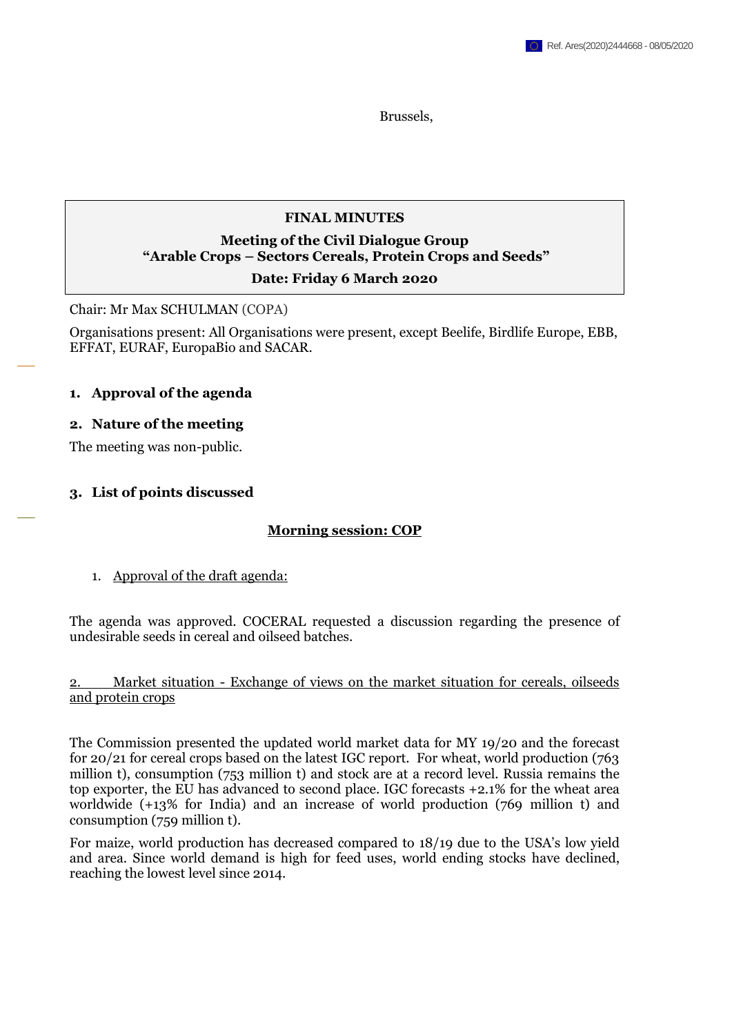Brussels,

#### **FINAL MINUTES**

# **Meeting of the Civil Dialogue Group "Arable Crops – Sectors Cereals, Protein Crops and Seeds"**

#### **Date: Friday 6 March 2020**

Chair: Mr Max SCHULMAN (COPA)

Organisations present: All Organisations were present, except Beelife, Birdlife Europe, EBB, EFFAT, EURAF, EuropaBio and SACAR.

#### **1. Approval of the agenda**

#### **2. Nature of the meeting**

The meeting was non-public.

#### **3. List of points discussed**

#### **Morning session: COP**

1. Approval of the draft agenda:

The agenda was approved. COCERAL requested a discussion regarding the presence of undesirable seeds in cereal and oilseed batches.

#### 2. Market situation - Exchange of views on the market situation for cereals, oilseeds and protein crops

The Commission presented the updated world market data for MY 19/20 and the forecast for 20/21 for cereal crops based on the latest IGC report. For wheat, world production (763 million t), consumption (753 million t) and stock are at a record level. Russia remains the top exporter, the EU has advanced to second place. IGC forecasts +2.1% for the wheat area worldwide (+13% for India) and an increase of world production (769 million t) and consumption (759 million t).

For maize, world production has decreased compared to 18/19 due to the USA's low yield and area. Since world demand is high for feed uses, world ending stocks have declined, reaching the lowest level since 2014.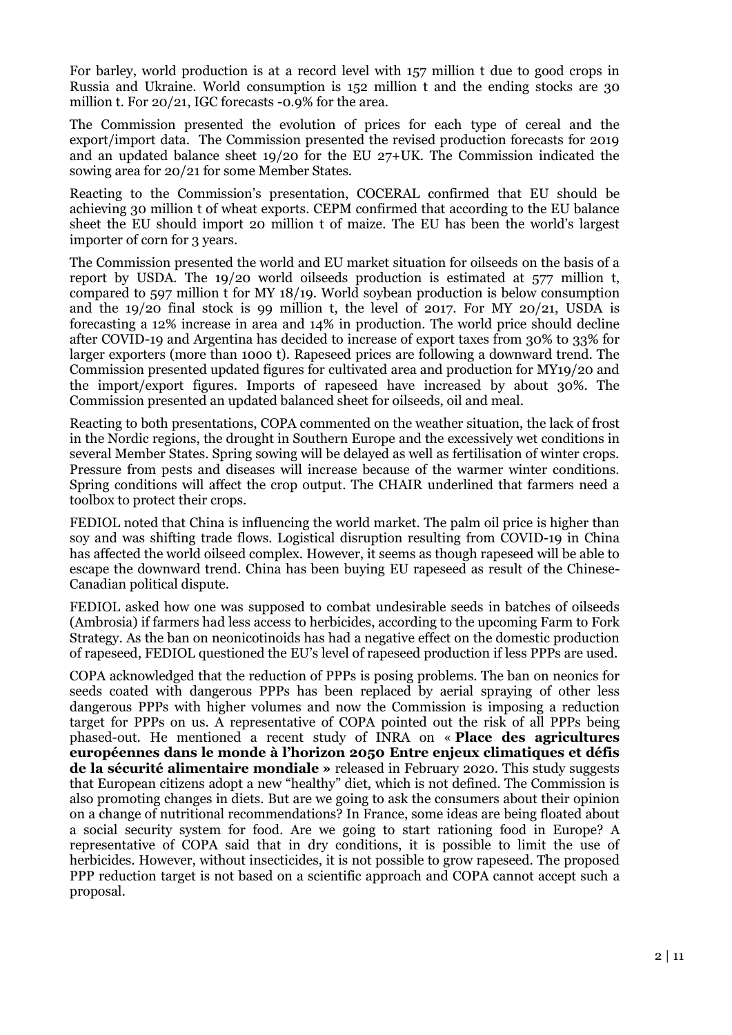For barley, world production is at a record level with 157 million t due to good crops in Russia and Ukraine. World consumption is 152 million t and the ending stocks are 30 million t. For 20/21, IGC forecasts -0.9% for the area.

The Commission presented the evolution of prices for each type of cereal and the export/import data. The Commission presented the revised production forecasts for 2019 and an updated balance sheet 19/20 for the EU 27+UK. The Commission indicated the sowing area for 20/21 for some Member States.

Reacting to the Commission's presentation, COCERAL confirmed that EU should be achieving 30 million t of wheat exports. CEPM confirmed that according to the EU balance sheet the EU should import 20 million t of maize. The EU has been the world's largest importer of corn for 3 years.

The Commission presented the world and EU market situation for oilseeds on the basis of a report by USDA. The 19/20 world oilseeds production is estimated at 577 million t, compared to 597 million t for MY 18/19. World soybean production is below consumption and the  $19/20$  final stock is 99 million t, the level of 2017. For MY 20/21, USDA is forecasting a 12% increase in area and 14% in production. The world price should decline after COVID-19 and Argentina has decided to increase of export taxes from 30% to 33% for larger exporters (more than 1000 t). Rapeseed prices are following a downward trend. The Commission presented updated figures for cultivated area and production for MY19/20 and the import/export figures. Imports of rapeseed have increased by about 30%. The Commission presented an updated balanced sheet for oilseeds, oil and meal.

Reacting to both presentations, COPA commented on the weather situation, the lack of frost in the Nordic regions, the drought in Southern Europe and the excessively wet conditions in several Member States. Spring sowing will be delayed as well as fertilisation of winter crops. Pressure from pests and diseases will increase because of the warmer winter conditions. Spring conditions will affect the crop output. The CHAIR underlined that farmers need a toolbox to protect their crops.

FEDIOL noted that China is influencing the world market. The palm oil price is higher than soy and was shifting trade flows. Logistical disruption resulting from COVID-19 in China has affected the world oilseed complex. However, it seems as though rapeseed will be able to escape the downward trend. China has been buying EU rapeseed as result of the Chinese-Canadian political dispute.

FEDIOL asked how one was supposed to combat undesirable seeds in batches of oilseeds (Ambrosia) if farmers had less access to herbicides, according to the upcoming Farm to Fork Strategy. As the ban on neonicotinoids has had a negative effect on the domestic production of rapeseed, FEDIOL questioned the EU's level of rapeseed production if less PPPs are used.

COPA acknowledged that the reduction of PPPs is posing problems. The ban on neonics for seeds coated with dangerous PPPs has been replaced by aerial spraying of other less dangerous PPPs with higher volumes and now the Commission is imposing a reduction target for PPPs on us. A representative of COPA pointed out the risk of all PPPs being phased-out. He mentioned a recent study of INRA on « **Place des agricultures européennes dans le monde à l'horizon 2050 Entre enjeux climatiques et défis de la sécurité alimentaire mondiale »** released in February 2020. This study suggests that European citizens adopt a new "healthy" diet, which is not defined. The Commission is also promoting changes in diets. But are we going to ask the consumers about their opinion on a change of nutritional recommendations? In France, some ideas are being floated about a social security system for food. Are we going to start rationing food in Europe? A representative of COPA said that in dry conditions, it is possible to limit the use of herbicides. However, without insecticides, it is not possible to grow rapeseed. The proposed PPP reduction target is not based on a scientific approach and COPA cannot accept such a proposal.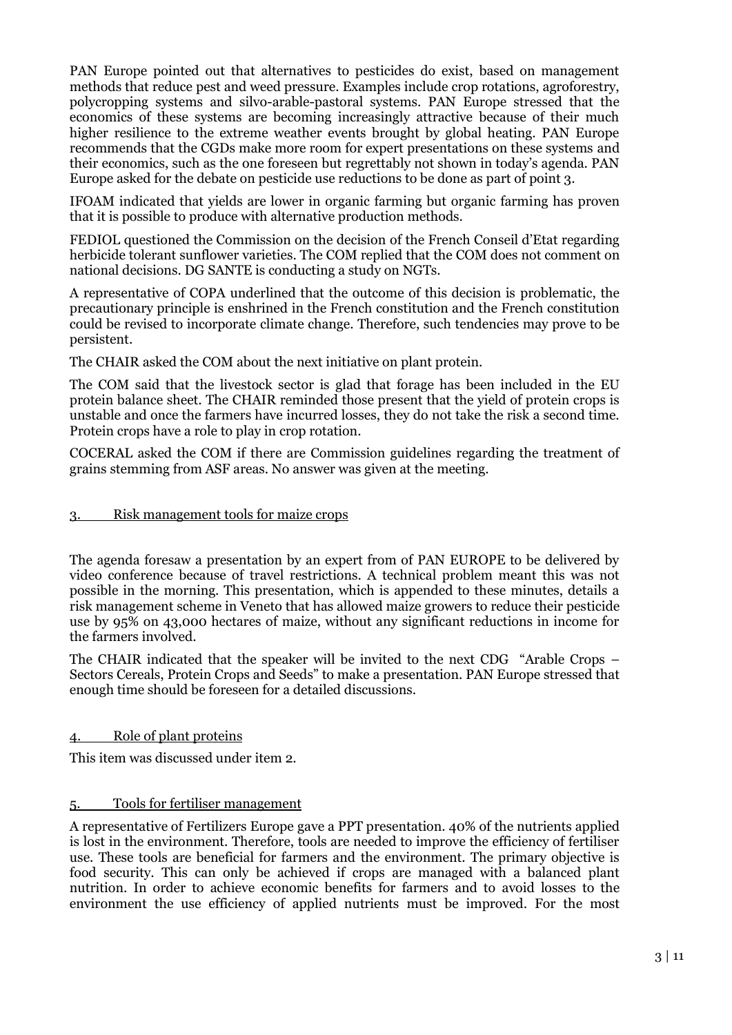PAN Europe pointed out that alternatives to pesticides do exist, based on management methods that reduce pest and weed pressure. Examples include crop rotations, agroforestry, polycropping systems and silvo-arable-pastoral systems. PAN Europe stressed that the economics of these systems are becoming increasingly attractive because of their much higher resilience to the extreme weather events brought by global heating. PAN Europe recommends that the CGDs make more room for expert presentations on these systems and their economics, such as the one foreseen but regrettably not shown in today's agenda. PAN Europe asked for the debate on pesticide use reductions to be done as part of point 3.

IFOAM indicated that yields are lower in organic farming but organic farming has proven that it is possible to produce with alternative production methods.

FEDIOL questioned the Commission on the decision of the French Conseil d'Etat regarding herbicide tolerant sunflower varieties. The COM replied that the COM does not comment on national decisions. DG SANTE is conducting a study on NGTs.

A representative of COPA underlined that the outcome of this decision is problematic, the precautionary principle is enshrined in the French constitution and the French constitution could be revised to incorporate climate change. Therefore, such tendencies may prove to be persistent.

The CHAIR asked the COM about the next initiative on plant protein.

The COM said that the livestock sector is glad that forage has been included in the EU protein balance sheet. The CHAIR reminded those present that the yield of protein crops is unstable and once the farmers have incurred losses, they do not take the risk a second time. Protein crops have a role to play in crop rotation.

COCERAL asked the COM if there are Commission guidelines regarding the treatment of grains stemming from ASF areas. No answer was given at the meeting.

#### 3. Risk management tools for maize crops

The agenda foresaw a presentation by an expert from of PAN EUROPE to be delivered by video conference because of travel restrictions. A technical problem meant this was not possible in the morning. This presentation, which is appended to these minutes, details a risk management scheme in Veneto that has allowed maize growers to reduce their pesticide use by 95% on 43,000 hectares of maize, without any significant reductions in income for the farmers involved.

The CHAIR indicated that the speaker will be invited to the next CDG "Arable Crops – Sectors Cereals, Protein Crops and Seeds" to make a presentation. PAN Europe stressed that enough time should be foreseen for a detailed discussions.

## 4. Role of plant proteins

This item was discussed under item 2.

## 5. Tools for fertiliser management

A representative of Fertilizers Europe gave a PPT presentation. 40% of the nutrients applied is lost in the environment. Therefore, tools are needed to improve the efficiency of fertiliser use. These tools are beneficial for farmers and the environment. The primary objective is food security. This can only be achieved if crops are managed with a balanced plant nutrition. In order to achieve economic benefits for farmers and to avoid losses to the environment the use efficiency of applied nutrients must be improved. For the most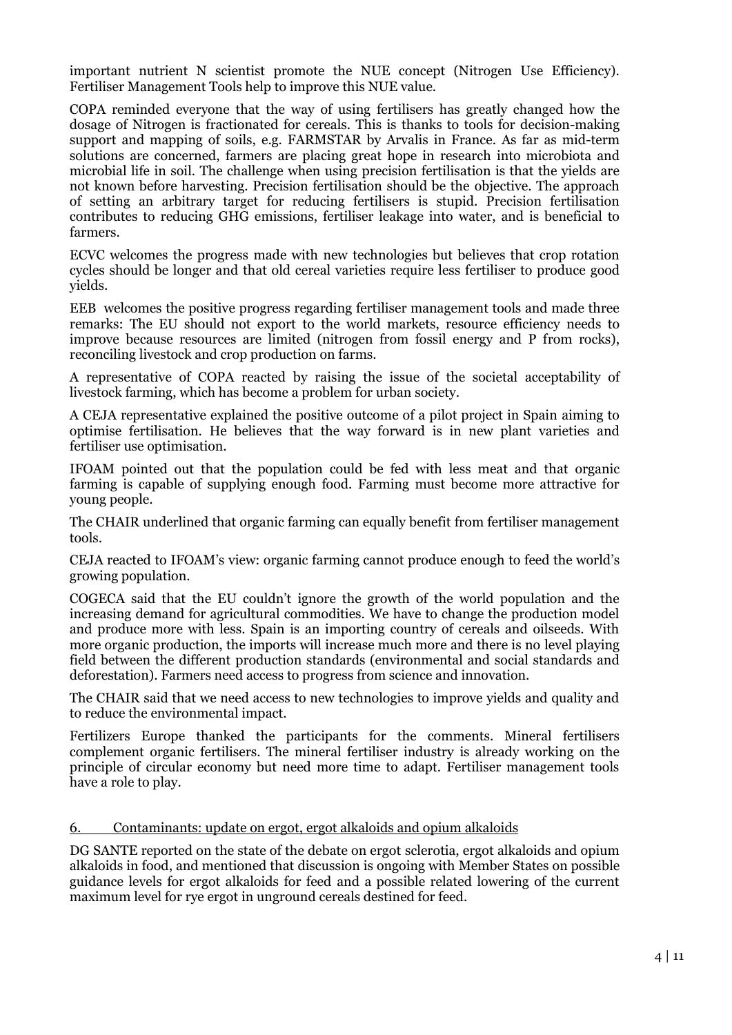important nutrient N scientist promote the NUE concept (Nitrogen Use Efficiency). Fertiliser Management Tools help to improve this NUE value.

COPA reminded everyone that the way of using fertilisers has greatly changed how the dosage of Nitrogen is fractionated for cereals. This is thanks to tools for decision-making support and mapping of soils, e.g. FARMSTAR by Arvalis in France. As far as mid-term solutions are concerned, farmers are placing great hope in research into microbiota and microbial life in soil. The challenge when using precision fertilisation is that the yields are not known before harvesting. Precision fertilisation should be the objective. The approach of setting an arbitrary target for reducing fertilisers is stupid. Precision fertilisation contributes to reducing GHG emissions, fertiliser leakage into water, and is beneficial to farmers.

ECVC welcomes the progress made with new technologies but believes that crop rotation cycles should be longer and that old cereal varieties require less fertiliser to produce good yields.

EEB welcomes the positive progress regarding fertiliser management tools and made three remarks: The EU should not export to the world markets, resource efficiency needs to improve because resources are limited (nitrogen from fossil energy and P from rocks), reconciling livestock and crop production on farms.

A representative of COPA reacted by raising the issue of the societal acceptability of livestock farming, which has become a problem for urban society.

A CEJA representative explained the positive outcome of a pilot project in Spain aiming to optimise fertilisation. He believes that the way forward is in new plant varieties and fertiliser use optimisation.

IFOAM pointed out that the population could be fed with less meat and that organic farming is capable of supplying enough food. Farming must become more attractive for young people.

The CHAIR underlined that organic farming can equally benefit from fertiliser management tools.

CEJA reacted to IFOAM's view: organic farming cannot produce enough to feed the world's growing population.

COGECA said that the EU couldn't ignore the growth of the world population and the increasing demand for agricultural commodities. We have to change the production model and produce more with less. Spain is an importing country of cereals and oilseeds. With more organic production, the imports will increase much more and there is no level playing field between the different production standards (environmental and social standards and deforestation). Farmers need access to progress from science and innovation.

The CHAIR said that we need access to new technologies to improve yields and quality and to reduce the environmental impact.

Fertilizers Europe thanked the participants for the comments. Mineral fertilisers complement organic fertilisers. The mineral fertiliser industry is already working on the principle of circular economy but need more time to adapt. Fertiliser management tools have a role to play.

#### 6. Contaminants: update on ergot, ergot alkaloids and opium alkaloids

DG SANTE reported on the state of the debate on ergot sclerotia, ergot alkaloids and opium alkaloids in food, and mentioned that discussion is ongoing with Member States on possible guidance levels for ergot alkaloids for feed and a possible related lowering of the current maximum level for rye ergot in unground cereals destined for feed.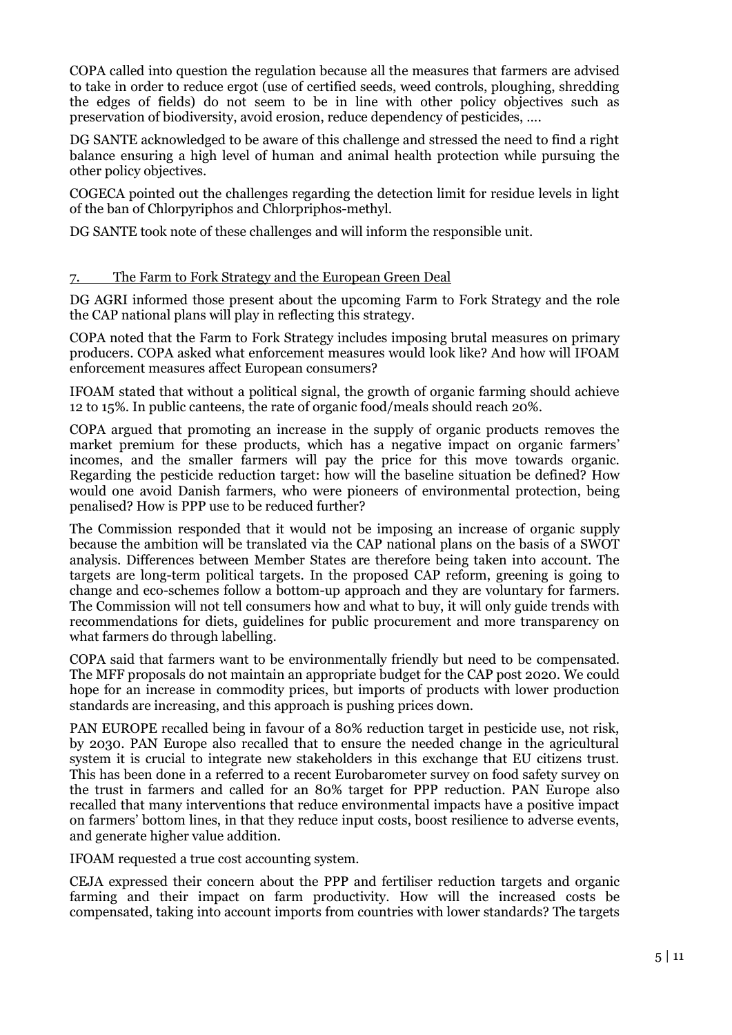COPA called into question the regulation because all the measures that farmers are advised to take in order to reduce ergot (use of certified seeds, weed controls, ploughing, shredding the edges of fields) do not seem to be in line with other policy objectives such as preservation of biodiversity, avoid erosion, reduce dependency of pesticides, ….

DG SANTE acknowledged to be aware of this challenge and stressed the need to find a right balance ensuring a high level of human and animal health protection while pursuing the other policy objectives.

COGECA pointed out the challenges regarding the detection limit for residue levels in light of the ban of Chlorpyriphos and Chlorpriphos-methyl.

DG SANTE took note of these challenges and will inform the responsible unit.

#### 7. The Farm to Fork Strategy and the European Green Deal

DG AGRI informed those present about the upcoming Farm to Fork Strategy and the role the CAP national plans will play in reflecting this strategy.

COPA noted that the Farm to Fork Strategy includes imposing brutal measures on primary producers. COPA asked what enforcement measures would look like? And how will IFOAM enforcement measures affect European consumers?

IFOAM stated that without a political signal, the growth of organic farming should achieve 12 to 15%. In public canteens, the rate of organic food/meals should reach 20%.

COPA argued that promoting an increase in the supply of organic products removes the market premium for these products, which has a negative impact on organic farmers' incomes, and the smaller farmers will pay the price for this move towards organic. Regarding the pesticide reduction target: how will the baseline situation be defined? How would one avoid Danish farmers, who were pioneers of environmental protection, being penalised? How is PPP use to be reduced further?

The Commission responded that it would not be imposing an increase of organic supply because the ambition will be translated via the CAP national plans on the basis of a SWOT analysis. Differences between Member States are therefore being taken into account. The targets are long-term political targets. In the proposed CAP reform, greening is going to change and eco-schemes follow a bottom-up approach and they are voluntary for farmers. The Commission will not tell consumers how and what to buy, it will only guide trends with recommendations for diets, guidelines for public procurement and more transparency on what farmers do through labelling.

COPA said that farmers want to be environmentally friendly but need to be compensated. The MFF proposals do not maintain an appropriate budget for the CAP post 2020. We could hope for an increase in commodity prices, but imports of products with lower production standards are increasing, and this approach is pushing prices down.

PAN EUROPE recalled being in favour of a 80% reduction target in pesticide use, not risk, by 2030. PAN Europe also recalled that to ensure the needed change in the agricultural system it is crucial to integrate new stakeholders in this exchange that EU citizens trust. This has been done in a referred to a recent Eurobarometer survey on food safety survey on the trust in farmers and called for an 80% target for PPP reduction. PAN Europe also recalled that many interventions that reduce environmental impacts have a positive impact on farmers' bottom lines, in that they reduce input costs, boost resilience to adverse events, and generate higher value addition.

IFOAM requested a true cost accounting system.

CEJA expressed their concern about the PPP and fertiliser reduction targets and organic farming and their impact on farm productivity. How will the increased costs be compensated, taking into account imports from countries with lower standards? The targets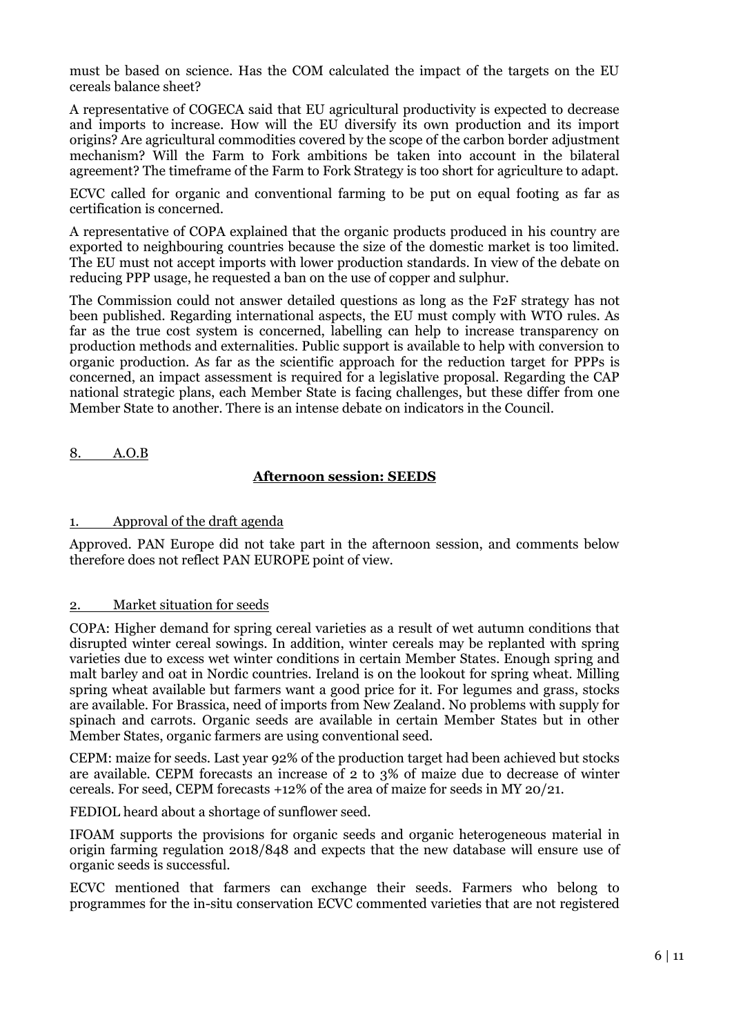must be based on science. Has the COM calculated the impact of the targets on the EU cereals balance sheet?

A representative of COGECA said that EU agricultural productivity is expected to decrease and imports to increase. How will the EU diversify its own production and its import origins? Are agricultural commodities covered by the scope of the carbon border adjustment mechanism? Will the Farm to Fork ambitions be taken into account in the bilateral agreement? The timeframe of the Farm to Fork Strategy is too short for agriculture to adapt.

ECVC called for organic and conventional farming to be put on equal footing as far as certification is concerned.

A representative of COPA explained that the organic products produced in his country are exported to neighbouring countries because the size of the domestic market is too limited. The EU must not accept imports with lower production standards. In view of the debate on reducing PPP usage, he requested a ban on the use of copper and sulphur.

The Commission could not answer detailed questions as long as the F2F strategy has not been published. Regarding international aspects, the EU must comply with WTO rules. As far as the true cost system is concerned, labelling can help to increase transparency on production methods and externalities. Public support is available to help with conversion to organic production. As far as the scientific approach for the reduction target for PPPs is concerned, an impact assessment is required for a legislative proposal. Regarding the CAP national strategic plans, each Member State is facing challenges, but these differ from one Member State to another. There is an intense debate on indicators in the Council.

8. A.O.B

## **Afternoon session: SEEDS**

#### 1. Approval of the draft agenda

Approved. PAN Europe did not take part in the afternoon session, and comments below therefore does not reflect PAN EUROPE point of view.

#### 2. Market situation for seeds

COPA: Higher demand for spring cereal varieties as a result of wet autumn conditions that disrupted winter cereal sowings. In addition, winter cereals may be replanted with spring varieties due to excess wet winter conditions in certain Member States. Enough spring and malt barley and oat in Nordic countries. Ireland is on the lookout for spring wheat. Milling spring wheat available but farmers want a good price for it. For legumes and grass, stocks are available. For Brassica, need of imports from New Zealand. No problems with supply for spinach and carrots. Organic seeds are available in certain Member States but in other Member States, organic farmers are using conventional seed.

CEPM: maize for seeds. Last year 92% of the production target had been achieved but stocks are available. CEPM forecasts an increase of 2 to 3% of maize due to decrease of winter cereals. For seed, CEPM forecasts +12% of the area of maize for seeds in MY 20/21.

FEDIOL heard about a shortage of sunflower seed.

IFOAM supports the provisions for organic seeds and organic heterogeneous material in origin farming regulation 2018/848 and expects that the new database will ensure use of organic seeds is successful.

ECVC mentioned that farmers can exchange their seeds. Farmers who belong to programmes for the in-situ conservation ECVC commented varieties that are not registered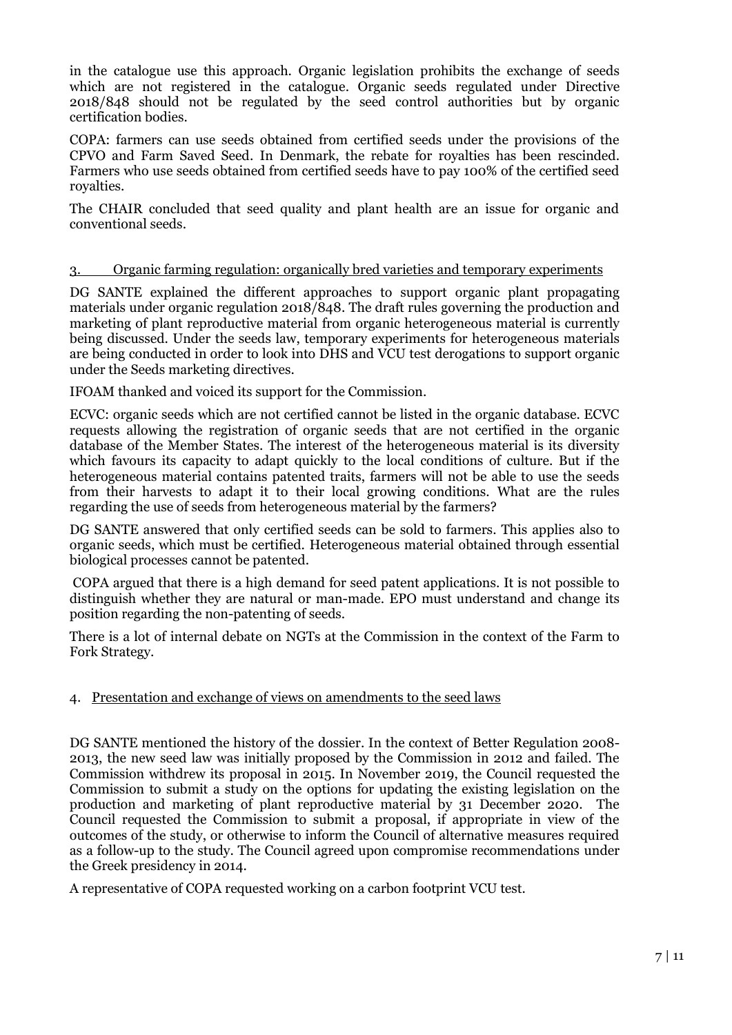in the catalogue use this approach. Organic legislation prohibits the exchange of seeds which are not registered in the catalogue. Organic seeds regulated under Directive 2018/848 should not be regulated by the seed control authorities but by organic certification bodies.

COPA: farmers can use seeds obtained from certified seeds under the provisions of the CPVO and Farm Saved Seed. In Denmark, the rebate for royalties has been rescinded. Farmers who use seeds obtained from certified seeds have to pay 100% of the certified seed royalties.

The CHAIR concluded that seed quality and plant health are an issue for organic and conventional seeds.

## 3. Organic farming regulation: organically bred varieties and temporary experiments

DG SANTE explained the different approaches to support organic plant propagating materials under organic regulation 2018/848. The draft rules governing the production and marketing of plant reproductive material from organic heterogeneous material is currently being discussed. Under the seeds law, temporary experiments for heterogeneous materials are being conducted in order to look into DHS and VCU test derogations to support organic under the Seeds marketing directives.

IFOAM thanked and voiced its support for the Commission.

ECVC: organic seeds which are not certified cannot be listed in the organic database. ECVC requests allowing the registration of organic seeds that are not certified in the organic database of the Member States. The interest of the heterogeneous material is its diversity which favours its capacity to adapt quickly to the local conditions of culture. But if the heterogeneous material contains patented traits, farmers will not be able to use the seeds from their harvests to adapt it to their local growing conditions. What are the rules regarding the use of seeds from heterogeneous material by the farmers?

DG SANTE answered that only certified seeds can be sold to farmers. This applies also to organic seeds, which must be certified. Heterogeneous material obtained through essential biological processes cannot be patented.

COPA argued that there is a high demand for seed patent applications. It is not possible to distinguish whether they are natural or man-made. EPO must understand and change its position regarding the non-patenting of seeds.

There is a lot of internal debate on NGTs at the Commission in the context of the Farm to Fork Strategy.

## 4. Presentation and exchange of views on amendments to the seed laws

DG SANTE mentioned the history of the dossier. In the context of Better Regulation 2008- 2013, the new seed law was initially proposed by the Commission in 2012 and failed. The Commission withdrew its proposal in 2015. In November 2019, the Council requested the Commission to submit a study on the options for updating the existing legislation on the production and marketing of plant reproductive material by 31 December 2020. The Council requested the Commission to submit a proposal, if appropriate in view of the outcomes of the study, or otherwise to inform the Council of alternative measures required as a follow-up to the study. The Council agreed upon compromise recommendations under the Greek presidency in 2014.

A representative of COPA requested working on a carbon footprint VCU test.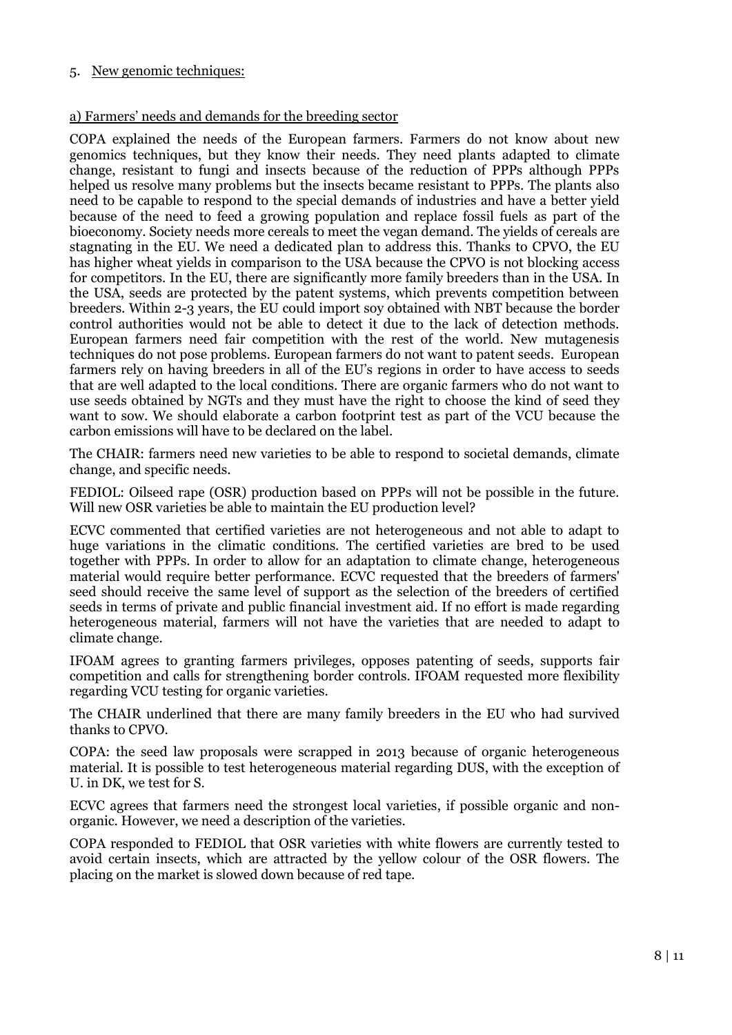#### 5. New genomic techniques:

#### a) Farmers' needs and demands for the breeding sector

COPA explained the needs of the European farmers. Farmers do not know about new genomics techniques, but they know their needs. They need plants adapted to climate change, resistant to fungi and insects because of the reduction of PPPs although PPPs helped us resolve many problems but the insects became resistant to PPPs. The plants also need to be capable to respond to the special demands of industries and have a better yield because of the need to feed a growing population and replace fossil fuels as part of the bioeconomy. Society needs more cereals to meet the vegan demand. The yields of cereals are stagnating in the EU. We need a dedicated plan to address this. Thanks to CPVO, the EU has higher wheat yields in comparison to the USA because the CPVO is not blocking access for competitors. In the EU, there are significantly more family breeders than in the USA. In the USA, seeds are protected by the patent systems, which prevents competition between breeders. Within 2-3 years, the EU could import soy obtained with NBT because the border control authorities would not be able to detect it due to the lack of detection methods. European farmers need fair competition with the rest of the world. New mutagenesis techniques do not pose problems. European farmers do not want to patent seeds. European farmers rely on having breeders in all of the EU's regions in order to have access to seeds that are well adapted to the local conditions. There are organic farmers who do not want to use seeds obtained by NGTs and they must have the right to choose the kind of seed they want to sow. We should elaborate a carbon footprint test as part of the VCU because the carbon emissions will have to be declared on the label.

The CHAIR: farmers need new varieties to be able to respond to societal demands, climate change, and specific needs.

FEDIOL: Oilseed rape (OSR) production based on PPPs will not be possible in the future. Will new OSR varieties be able to maintain the EU production level?

ECVC commented that certified varieties are not heterogeneous and not able to adapt to huge variations in the climatic conditions. The certified varieties are bred to be used together with PPPs. In order to allow for an adaptation to climate change, heterogeneous material would require better performance. ECVC requested that the breeders of farmers' seed should receive the same level of support as the selection of the breeders of certified seeds in terms of private and public financial investment aid. If no effort is made regarding heterogeneous material, farmers will not have the varieties that are needed to adapt to climate change.

IFOAM agrees to granting farmers privileges, opposes patenting of seeds, supports fair competition and calls for strengthening border controls. IFOAM requested more flexibility regarding VCU testing for organic varieties.

The CHAIR underlined that there are many family breeders in the EU who had survived thanks to CPVO.

COPA: the seed law proposals were scrapped in 2013 because of organic heterogeneous material. It is possible to test heterogeneous material regarding DUS, with the exception of U. in DK, we test for S.

ECVC agrees that farmers need the strongest local varieties, if possible organic and nonorganic. However, we need a description of the varieties.

COPA responded to FEDIOL that OSR varieties with white flowers are currently tested to avoid certain insects, which are attracted by the yellow colour of the OSR flowers. The placing on the market is slowed down because of red tape.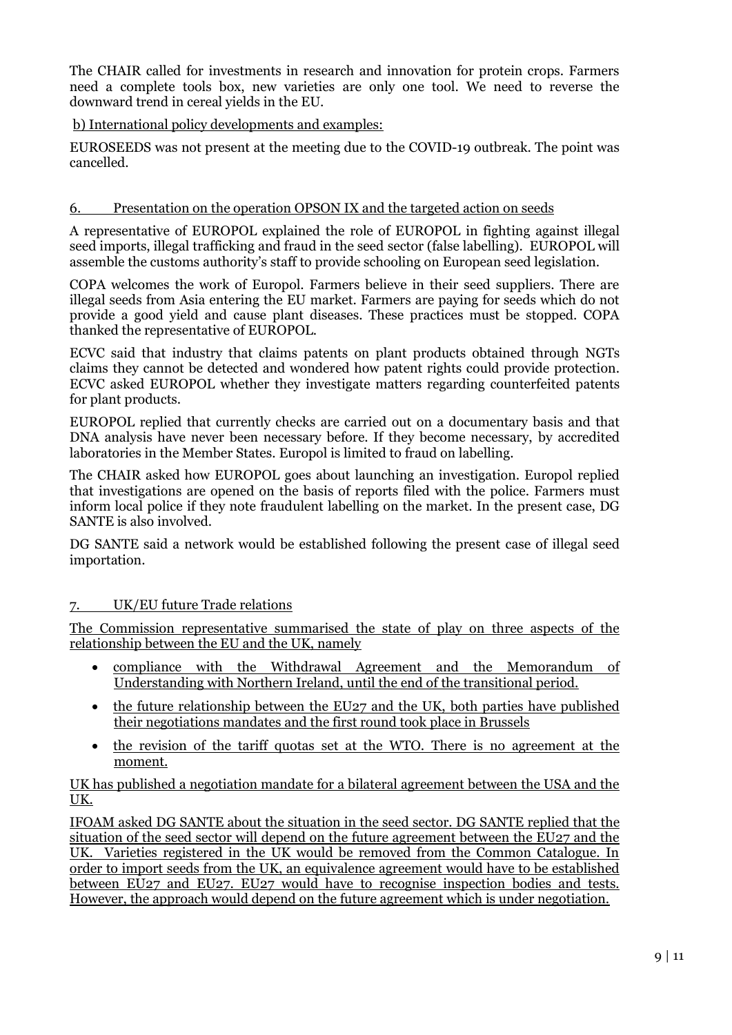The CHAIR called for investments in research and innovation for protein crops. Farmers need a complete tools box, new varieties are only one tool. We need to reverse the downward trend in cereal yields in the EU.

## b) International policy developments and examples:

EUROSEEDS was not present at the meeting due to the COVID-19 outbreak. The point was cancelled.

# 6. Presentation on the operation OPSON IX and the targeted action on seeds

A representative of EUROPOL explained the role of EUROPOL in fighting against illegal seed imports, illegal trafficking and fraud in the seed sector (false labelling). EUROPOL will assemble the customs authority's staff to provide schooling on European seed legislation.

COPA welcomes the work of Europol. Farmers believe in their seed suppliers. There are illegal seeds from Asia entering the EU market. Farmers are paying for seeds which do not provide a good yield and cause plant diseases. These practices must be stopped. COPA thanked the representative of EUROPOL.

ECVC said that industry that claims patents on plant products obtained through NGTs claims they cannot be detected and wondered how patent rights could provide protection. ECVC asked EUROPOL whether they investigate matters regarding counterfeited patents for plant products.

EUROPOL replied that currently checks are carried out on a documentary basis and that DNA analysis have never been necessary before. If they become necessary, by accredited laboratories in the Member States. Europol is limited to fraud on labelling.

The CHAIR asked how EUROPOL goes about launching an investigation. Europol replied that investigations are opened on the basis of reports filed with the police. Farmers must inform local police if they note fraudulent labelling on the market. In the present case, DG SANTE is also involved.

DG SANTE said a network would be established following the present case of illegal seed importation.

# 7. UK/EU future Trade relations

The Commission representative summarised the state of play on three aspects of the relationship between the EU and the UK, namely

- compliance with the Withdrawal Agreement and the Memorandum of Understanding with Northern Ireland, until the end of the transitional period.
- the future relationship between the EU27 and the UK, both parties have published their negotiations mandates and the first round took place in Brussels
- the revision of the tariff quotas set at the WTO. There is no agreement at the moment.

## UK has published a negotiation mandate for a bilateral agreement between the USA and the UK.

IFOAM asked DG SANTE about the situation in the seed sector. DG SANTE replied that the situation of the seed sector will depend on the future agreement between the EU27 and the UK. Varieties registered in the UK would be removed from the Common Catalogue. In order to import seeds from the UK, an equivalence agreement would have to be established between EU27 and EU27. EU27 would have to recognise inspection bodies and tests. However, the approach would depend on the future agreement which is under negotiation.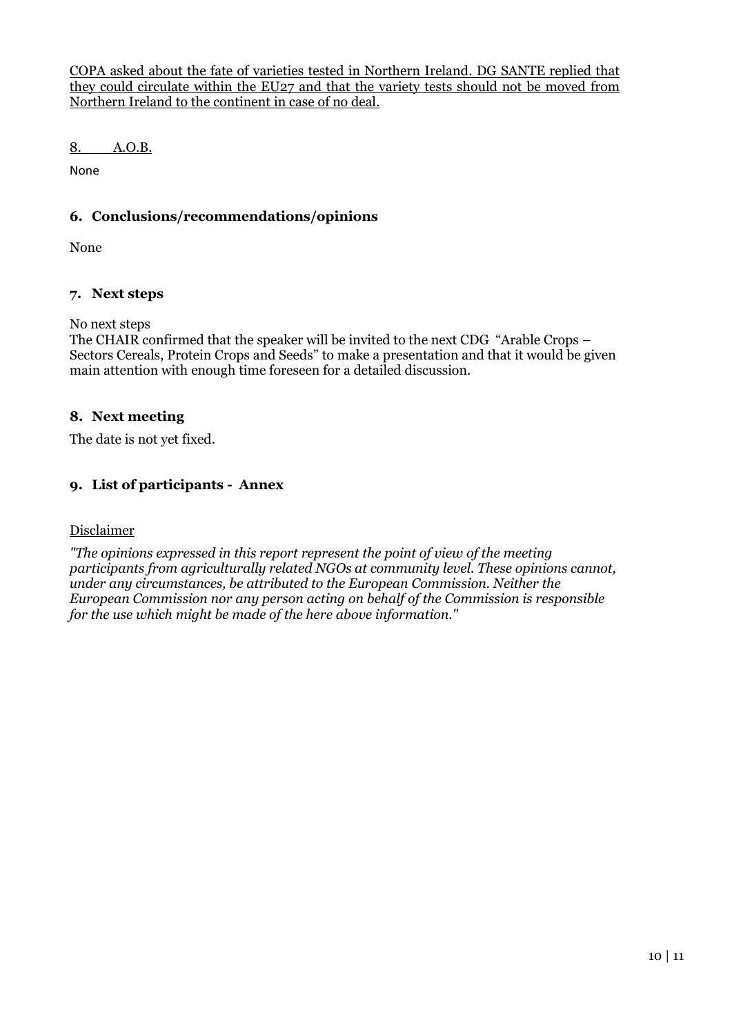COPA asked about the fate of varieties tested in Northern Ireland. DG SANTE replied that they could circulate within the EU27 and that the variety tests should not be moved from Northern Ireland to the continent in case of no deal.

8. A.O.B.

None

# **6. Conclusions/recommendations/opinions**

None

## **7. Next steps**

No next steps

The CHAIR confirmed that the speaker will be invited to the next CDG "Arable Crops – Sectors Cereals, Protein Crops and Seeds" to make a presentation and that it would be given main attention with enough time foreseen for a detailed discussion.

## **8. Next meeting**

The date is not yet fixed.

## **9. List of participants - Annex**

#### Disclaimer

*"The opinions expressed in this report represent the point of view of the meeting participants from agriculturally related NGOs at community level. These opinions cannot, under any circumstances, be attributed to the European Commission. Neither the European Commission nor any person acting on behalf of the Commission is responsible for the use which might be made of the here above information."*